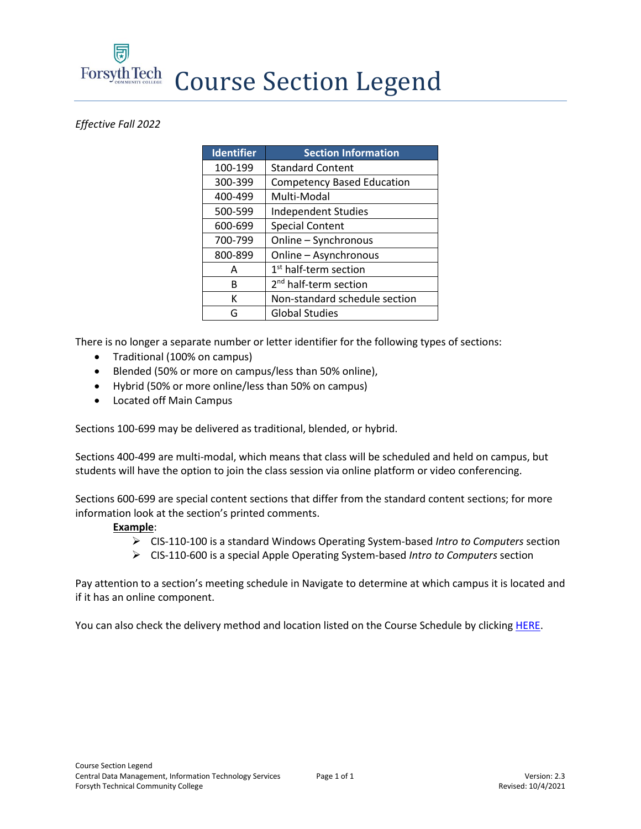**Forsyth Tech** Course Section Legend

## *Effective Fall 2022*

| <b>Identifier</b> | <b>Section Information</b>        |
|-------------------|-----------------------------------|
| 100-199           | <b>Standard Content</b>           |
| 300-399           | <b>Competency Based Education</b> |
| 400-499           | Multi-Modal                       |
| 500-599           | <b>Independent Studies</b>        |
| 600-699           | <b>Special Content</b>            |
| 700-799           | Online - Synchronous              |
| 800-899           | Online - Asynchronous             |
| Α                 | 1 <sup>st</sup> half-term section |
| R                 | 2 <sup>nd</sup> half-term section |
| к                 | Non-standard schedule section     |
| G                 | <b>Global Studies</b>             |

There is no longer a separate number or letter identifier for the following types of sections:

- Traditional (100% on campus)
- Blended (50% or more on campus/less than 50% online),
- Hybrid (50% or more online/less than 50% on campus)
- Located off Main Campus

Sections 100-699 may be delivered as traditional, blended, or hybrid.

Sections 400-499 are multi-modal, which means that class will be scheduled and held on campus, but students will have the option to join the class session via online platform or video conferencing.

Sections 600-699 are special content sections that differ from the standard content sections; for more information look at the section's printed comments.

## **Example**:

- ➢ CIS-110-100 is a standard Windows Operating System-based *Intro to Computers* section
- ➢ CIS-110-600 is a special Apple Operating System-based *Intro to Computers* section

Pay attention to a section's meeting schedule in Navigate to determine at which campus it is located and if it has an online component.

You can also check the delivery method and location listed on the Course Schedule by clickin[g HERE.](https://courseschedule.forsythtech.edu/)